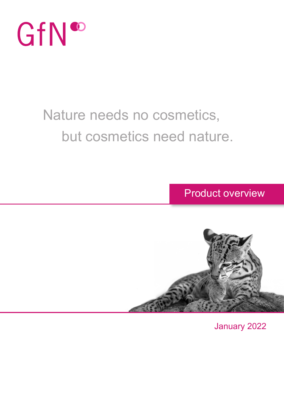

### Nature needs no cosmetics, but cosmetics need nature.

Product overview



January 2022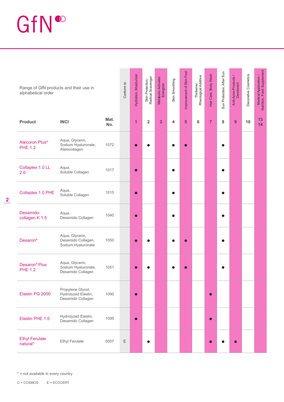## GfN®

| Range of GfN products and their use in<br>alphabetical order |                                                               |             | Conform to  | Hydration, Moisturizer | Skin Protection,<br>Radical Scavenger | Metabolic Activator,<br>Energizer | Skin Smoothing | Improvement of Skin Feel | Thickener,<br>Rheological Additive | Hair Care, Body Wash | Sun Protection, After Sun | Anti-Acne-Products /<br>Deodorant | Decorative Cosmetics | Medical Application /<br>Nutrition, Food Supplement |
|--------------------------------------------------------------|---------------------------------------------------------------|-------------|-------------|------------------------|---------------------------------------|-----------------------------------|----------------|--------------------------|------------------------------------|----------------------|---------------------------|-----------------------------------|----------------------|-----------------------------------------------------|
| <b>Product</b>                                               | <b>INCI</b>                                                   | Mat.<br>No. |             | $\overline{1}$         | $\overline{2}$                        | 3                                 | 4              | 5                        | 6                                  | $\overline{7}$       | 8                         | 9                                 | 10                   | 13<br>14                                            |
| Atecoron Plus <sup>®</sup><br><b>PHE 1.2</b>                 | Aqua, Glycerin,<br>Sodium Hyaluronate,<br>Atelocollagen       | 1072        |             |                        |                                       |                                   |                |                          |                                    |                      |                           |                                   |                      |                                                     |
| Collaplex 1.0 LL<br>2.0                                      | Aqua,<br>Soluble Collagen                                     | 1017        |             |                        |                                       |                                   |                |                          |                                    |                      |                           |                                   |                      |                                                     |
| Collaplex 1.0 PHE                                            | Aqua,<br>Soluble Collagen                                     | 1015        |             | ∩                      |                                       |                                   |                |                          |                                    |                      |                           |                                   |                      |                                                     |
| Desamido-<br>collagen K 1.5                                  | Aqua,<br>Desamido Collagen                                    | 1040        |             |                        |                                       |                                   |                |                          |                                    |                      |                           |                                   |                      |                                                     |
| Desaron <sup>®</sup>                                         | Aqua, Glycerin,<br>Desamido Collagen,<br>Sodium Hyaluronate   | 1050        |             |                        |                                       |                                   |                |                          |                                    |                      |                           |                                   |                      |                                                     |
| Desaron <sup>®</sup> Plus<br><b>PHE 1.2</b>                  | Aqua, Glycerin,<br>Sodium Hyaluronate,<br>Desamido Collagen   | 1051        |             |                        |                                       |                                   |                |                          |                                    |                      |                           |                                   |                      |                                                     |
| Elastin PG 2000                                              | Propylene Glycol,<br>Hydrolyzed Elastin,<br>Desamido Collagen | 1090        |             | ∩                      |                                       |                                   |                |                          |                                    |                      |                           |                                   |                      |                                                     |
| Elastin PHE 1.0                                              | Hydrolyzed Elastin,<br>Desamido Collagen                      | 1095        |             | $\bullet$              |                                       |                                   |                |                          |                                    |                      |                           |                                   |                      |                                                     |
| <b>Ethyl Ferulate</b><br>natural*                            | <b>Ethyl Ferulate</b>                                         | 5007        | $\mathsf E$ |                        |                                       |                                   |                |                          |                                    |                      |                           |                                   |                      |                                                     |

\* = not available in every country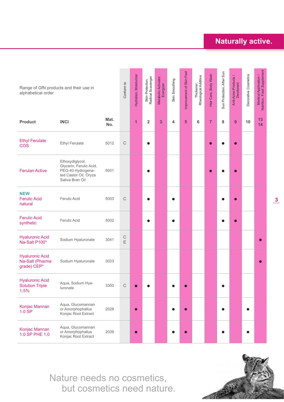#### **Naturally active.**

| Range of GfN products and their use in<br>alphabetical order |                                                                                                             |             | Conform to    | Hydration, Moisturizer | Skin Protection,<br>Radical Scavenger | Metabolic Activator,<br>Energizer | Skin Smoothing | Improvement of Skin Feel | Thickener,<br>Rheological Additive | Hair Care, Body Wash | Sun Protection, After Sun | Anti-Acne-Products /<br>Deodorant | Decorative Cosmetics | Medical Application /<br>Nutrition, Food Supplement |
|--------------------------------------------------------------|-------------------------------------------------------------------------------------------------------------|-------------|---------------|------------------------|---------------------------------------|-----------------------------------|----------------|--------------------------|------------------------------------|----------------------|---------------------------|-----------------------------------|----------------------|-----------------------------------------------------|
| <b>Product</b>                                               | <b>INCI</b>                                                                                                 | Mat.<br>No. |               | $\mathbf{1}$           | $\overline{\mathbf{2}}$               | 3                                 | 4              | 5                        | 6                                  | $\overline{7}$       | 8                         | 9                                 | 10                   | 13<br>14                                            |
| <b>Ethyl Ferulate</b><br><b>COS</b>                          | <b>Ethyl Ferulate</b>                                                                                       | 5012        | $\mathsf{C}$  |                        |                                       |                                   |                |                          |                                    |                      |                           |                                   |                      |                                                     |
| <b>Ferulan Active</b>                                        | Ethoxydiglycol,<br>Glycerin, Ferulic Acid,<br>PEG-40 Hydrogena-<br>ted Castor Oil, Oryza<br>Sativa Bran Oil | 5001        |               |                        |                                       |                                   |                |                          |                                    |                      |                           |                                   |                      |                                                     |
| <b>NEW</b><br><b>Ferulic Acid</b><br>natural                 | <b>Ferulic Acid</b>                                                                                         | 5003        | $\mathsf C$   |                        |                                       |                                   |                |                          |                                    |                      |                           |                                   |                      |                                                     |
| <b>Ferulic Acid</b><br>synthetic                             | Ferulic Acid                                                                                                | 5002        |               |                        |                                       |                                   | $\bullet$      |                          |                                    |                      |                           |                                   |                      |                                                     |
| <b>Hyaluronic Acid</b><br>Na-Salt P100*                      | Sodium Hyaluronate                                                                                          | 3041        | $\frac{C}{E}$ |                        |                                       |                                   |                |                          |                                    |                      |                           |                                   |                      |                                                     |
| <b>Hyaluronic Acid</b><br>Na-Salt (Pharma<br>grade) CEP*     | Sodium Hyaluronate                                                                                          | 3023        |               |                        |                                       |                                   |                |                          |                                    |                      |                           |                                   |                      |                                                     |
| <b>Hyaluronic Acid</b><br><b>Solution Triple</b><br>1.5%     | Aqua, Sodium Hya-<br>luronate                                                                               | 3300        | С             |                        |                                       |                                   |                |                          |                                    |                      |                           |                                   |                      |                                                     |
| Konjac Mannan<br>1.0 SP                                      | Aqua, Glucomannan<br>or Amorphophallus<br>Konjac Root Extract                                               | 2028        |               |                        |                                       |                                   |                |                          |                                    |                      |                           |                                   | $\bullet$            |                                                     |
| Konjac Mannan<br>1.0 SP PHE 1.0                              | Aqua, Glucomannan<br>or Amorphophallus<br>Konjac Root Extract                                               | 2039        |               |                        |                                       |                                   |                |                          |                                    |                      |                           |                                   |                      |                                                     |

Nature needs no cosmetics, but cosmetics need nature.

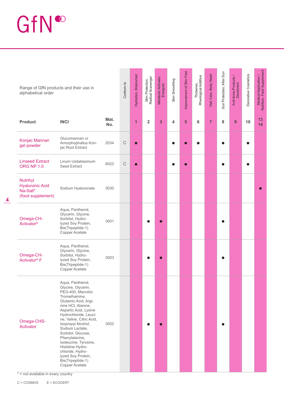## GfN®

| Range of GfN products and their use in<br>alphabetical order               |                                                                                                                                                                                                                                                                                                                                                                                                                          |             | Conform to  | Hydration, Moisturizer | Skin Protection,<br>Radical Scavenger | Metabolic Activator,<br>Energizer | Skin Smoothing | Improvement of Skin Feel | Thickener,<br>Rheological Additive | Hair Care, Body Wash | Sun Protection, After Sun | Anti-Acne-Products /<br>Deodorant | Decorative Cosmetics | Medical Application /<br>Nutrition, Food Supplement |
|----------------------------------------------------------------------------|--------------------------------------------------------------------------------------------------------------------------------------------------------------------------------------------------------------------------------------------------------------------------------------------------------------------------------------------------------------------------------------------------------------------------|-------------|-------------|------------------------|---------------------------------------|-----------------------------------|----------------|--------------------------|------------------------------------|----------------------|---------------------------|-----------------------------------|----------------------|-----------------------------------------------------|
| <b>Product</b>                                                             | <b>INCI</b>                                                                                                                                                                                                                                                                                                                                                                                                              | Mat.<br>No. |             | 1                      | $\overline{2}$                        | 3                                 | 4              | 5                        | 6                                  | $\overline{7}$       | 8                         | 9                                 | 10                   | 13<br>14                                            |
| Konjac Mannan<br>gel powder                                                | Glucomannan or<br>Amorphophallus Kon-<br>jac Root Extract                                                                                                                                                                                                                                                                                                                                                                | 2034        | $\mathsf C$ |                        |                                       |                                   |                |                          |                                    |                      |                           |                                   |                      |                                                     |
| <b>Linseed Extract</b><br><b>ORG NP 1.0</b>                                | Linum Usitatissimum<br><b>Seed Extract</b>                                                                                                                                                                                                                                                                                                                                                                               | 6022        | $\mathsf C$ | $\bullet$              |                                       |                                   |                |                          |                                    |                      |                           |                                   |                      |                                                     |
| <b>Nutrihyl</b><br><b>Hyaluronic Acid</b><br>Na-Salt*<br>(food supplement) | Sodium Hyaluronate                                                                                                                                                                                                                                                                                                                                                                                                       | 3030        |             |                        |                                       |                                   |                |                          |                                    |                      |                           |                                   |                      |                                                     |
| Omega-CH-<br><b>Activator®</b>                                             | Aqua, Panthenol,<br>Glycerin, Glycine,<br>Sorbitol, Hydro-<br>lyzed Soy Protein,<br>Bis(Tripeptide-1)<br>Copper Acetate                                                                                                                                                                                                                                                                                                  | 3001        |             |                        |                                       |                                   |                |                          |                                    |                      |                           |                                   |                      |                                                     |
| Omega-CH-<br>Activator <sup>®</sup> F                                      | Aqua, Panthenol,<br>Glycerin, Glycine,<br>Sorbitol, Hydro-<br>lyzed Soy Protein,<br>Bis(Tripeptide-1)<br>Copper Acetate                                                                                                                                                                                                                                                                                                  | 3003        |             |                        |                                       |                                   |                |                          |                                    |                      |                           |                                   |                      |                                                     |
| Omega-CHS-<br>Activator                                                    | Aqua, Panthenol,<br>Glycine, Glycerin,<br>PEG-400, Mannitol,<br>Tromethamine,<br>Glutamic Acid, Argi-<br>nine HCI, Alanine,<br>Aspartic Acid, Lysine<br>Hydrochloride, Leuci-<br>ne, Valine, Citric Acid,<br>Isopropyl Alcohol,<br>Sodium Lactate,<br>Sorbitol, Glucose,<br>Phenylalanine,<br>Isoleucine, Tyrosine,<br>Histidine Hydro-<br>chloride, Hydro-<br>lyzed Soy Protein,<br>Bis(Tripeptide-1)<br>Copper Acetate | 3002        |             |                        |                                       |                                   |                |                          |                                    |                      |                           |                                   |                      |                                                     |

 $* = not available in every country$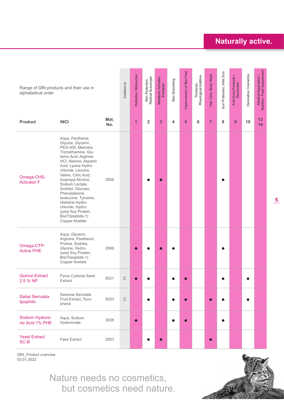#### **Naturally active.**

| Range of GfN products and their use in<br>alphabetical order |                                                                                                                                                                                                                                                                                                                                                                                                                          |             | Conform to  | Hydration, Moisturizer | Skin Protection,<br>Radical Scavenger | Metabolic Activator,<br>Energizer | Skin Smoothing | Improvement of Skin Feel | Thickener,<br>Rheological Additive | Hair Care, Body Wash | Sun Protection, After Sun | Anti-Acne-Products /<br>Deodorant | Decorative Cosmetics | Medical Application /<br>Nutrition, Food Supplement |
|--------------------------------------------------------------|--------------------------------------------------------------------------------------------------------------------------------------------------------------------------------------------------------------------------------------------------------------------------------------------------------------------------------------------------------------------------------------------------------------------------|-------------|-------------|------------------------|---------------------------------------|-----------------------------------|----------------|--------------------------|------------------------------------|----------------------|---------------------------|-----------------------------------|----------------------|-----------------------------------------------------|
| <b>Product</b>                                               | <b>INCI</b>                                                                                                                                                                                                                                                                                                                                                                                                              | Mat.<br>No. |             | 1                      | $\overline{2}$                        | 3                                 | 4              | 5                        | 6                                  | $\overline{7}$       | 8                         | 9                                 | 10                   | 13<br>14                                            |
| Omega-CHS-<br><b>Activator F</b>                             | Aqua, Panthenol,<br>Glycine, Glycerin,<br>PEG-400, Mannitol,<br>Tromethamine, Glu-<br>tamic Acid, Arginine<br>HCI, Alanine, Aspartic<br>Acid, Lysine Hydro-<br>chloride, Leucine,<br>Valine, Citric Acid,<br>Isopropyl Alcohol,<br>Sodium Lactate,<br>Sorbitol, Glucose,<br>Phenylalanine,<br>Isoleucine, Tyrosine,<br>Histidine Hydro-<br>chloride, Hydro-<br>lyzed Soy Protein,<br>Bis(Tripeptide-1)<br>Copper Acetate | 3008        |             |                        |                                       |                                   |                |                          |                                    |                      |                           |                                   |                      |                                                     |
| Omega-CTP-<br><b>Active PHE</b>                              | Aqua, Glycerin,<br>Arginine, Panthenol,<br>Proline, Sorbitol,<br>Glycine, Hydro-<br>lyzed Soy Protein,<br>Bis(Tripeptide-1)<br>Copper Acetate                                                                                                                                                                                                                                                                            | 2999        |             |                        |                                       |                                   |                |                          |                                    |                      |                           |                                   |                      |                                                     |
| <b>Quince Extract</b><br>2.5 % NP                            | Pyrus Cydonia Seed<br>Extract                                                                                                                                                                                                                                                                                                                                                                                            | 6021        | $\mathsf C$ |                        |                                       |                                   |                |                          |                                    |                      |                           |                                   |                      |                                                     |
| <b>Sabal Serrulata</b><br>lipophilic                         | Serenoa Serrulata<br>Fruit Extract, Toco-<br>pherol                                                                                                                                                                                                                                                                                                                                                                      | 5053        | $\mathbb C$ |                        |                                       |                                   |                |                          |                                    |                      |                           |                                   | $\bullet$            |                                                     |
| Sodium Hyaluro-<br>nic Acid 1% PHE                           | Aqua, Sodium<br>Hyaluronate                                                                                                                                                                                                                                                                                                                                                                                              | 3038        |             |                        |                                       |                                   | $\bullet$      |                          |                                    |                      |                           |                                   |                      |                                                     |
| <b>Yeast Extract</b><br>SC-B                                 | <b>Faex Extract</b>                                                                                                                                                                                                                                                                                                                                                                                                      | 2003        |             |                        |                                       |                                   |                |                          |                                    | $\bullet$            |                           |                                   |                      |                                                     |

GfN\_Product overview 03.01.2022

> Nature needs no cosmetics, but cosmetics need nature.